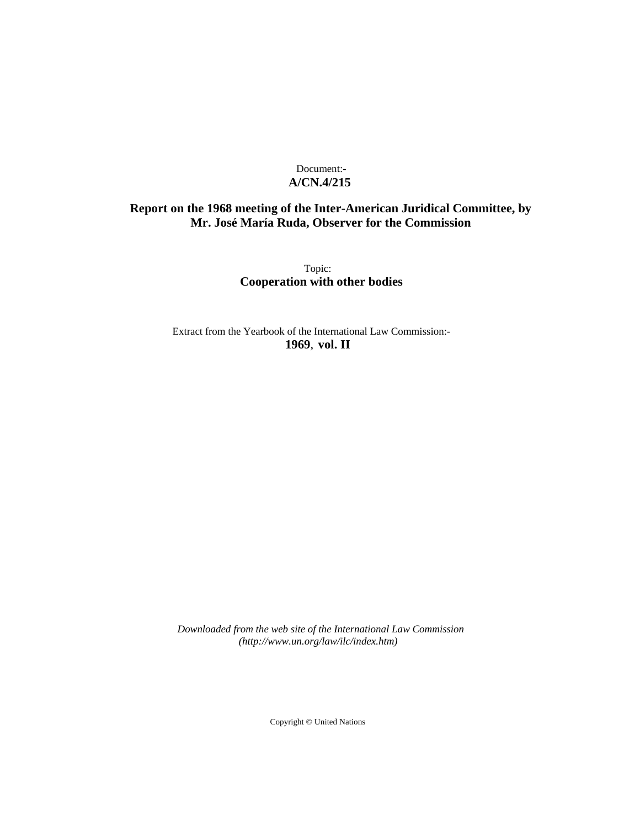# Document:- **A/CN.4/215**

# **Report on the 1968 meeting of the Inter-American Juridical Committee, by Mr. José María Ruda, Observer for the Commission**

Topic: **Cooperation with other bodies**

Extract from the Yearbook of the International Law Commission:- **1969**, **vol. II**

*Downloaded from the web site of the International Law Commission (http://www.un.org/law/ilc/index.htm)*

Copyright © United Nations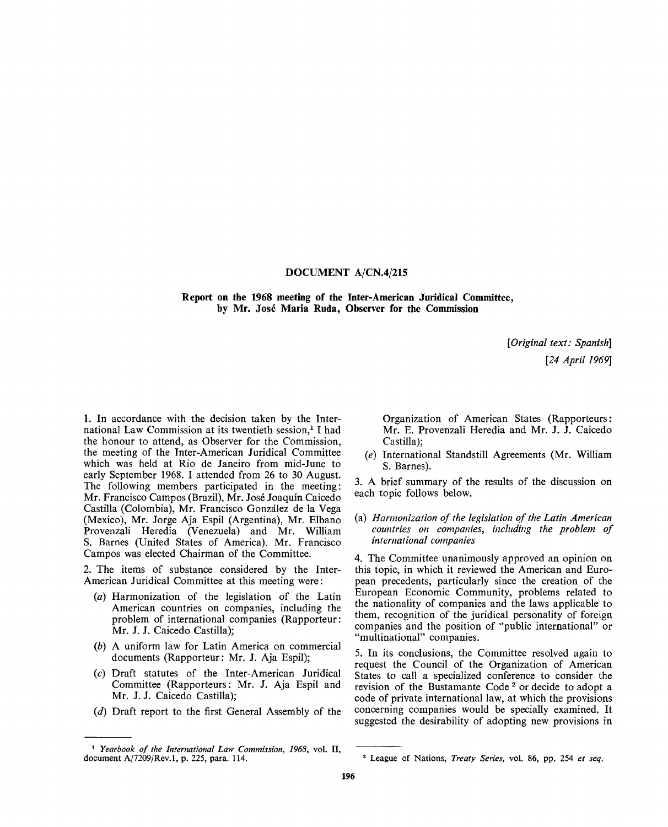# **DOCUMENT A/CN.4/215**

**Report on the 1968 meeting of the Inter-American Juridical Committee, by Mr. Jose Maria Ruda, Observer for the Commission**

> *[Original text: Spanish] [24 April 1969]*

1. In accordance with the decision taken by the International Law Commission at its twentieth session,<sup>1</sup> I had the honour to attend, as Observer for the Commission, the meeting of the Inter-American Juridical Committee which was held at Rio de Janeiro from mid-June to early September 1968. I attended from 26 to 30 August. The following members participated in the meeting: Mr. Francisco Campos (Brazil), Mr. Jose Joaquin Caicedo Castilla (Colombia), Mr. Francisco Gonzalez de la Vega (Mexico), Mr. Jorge Aja Espil (Argentina), Mr. Elbano Provenzali Heredia (Venezuela) and Mr. William S. Barnes (United States of America). Mr. Francisco Campos was elected Chairman of the Committee.

2. The items of substance considered by the Inter-American Juridical Committee at this meeting were:

- *(a)* Harmonization of the legislation of the Latin American countries on companies, including the problem of international companies (Rapporteur: Mr. J. J. Caicedo Castilla);
- *(b)* A uniform law for Latin America on commercial documents (Rapporteur: Mr. J. Aja Espil);
- (c) Draft statutes of the Inter-American Juridical Committee (Rapporteurs: Mr. J. Aja Espil and Mr. J. J. Caicedo Castilla);
- *(d)* Draft report to the first General Assembly of the

Organization of American States (Rapporteurs: Mr. E. Provenzali Heredia and Mr. J. J. Caicedo Castilla);

 $(e)$  International Standstill Agreements (Mr. William S. Barnes).

3. A brief summary of the results of the discussion on each topic follows below.

(a) *Harmonization of the legislation of the Latin American countries on companies, including the problem of international companies*

4. The Committee unanimously approved an opinion on this topic, in which it reviewed the American and European precedents, particularly since the creation of the European Economic Community, problems related to the nationality of companies and the laws applicable to them, recognition of the juridical personality of foreign companies and the position of "public international" or "multinational" companies.

5. In its conclusions, the Committee resolved again to request the Council of the Organization of American States to call a specialized conference to consider the revision of the Bustamante Code <sup>2</sup> or decide to adopt a code of private international law, at which the provisions concerning companies would be specially examined. It suggested the desirability of adopting new provisions in

<sup>1</sup>  *Yearbook of the International Law Commission, 1968,* vol. II, document A/7209/Rev.l, p. 225, para. 114. League of Nations, *Treaty Series,* vol. 86, pp. 254 *et seq.*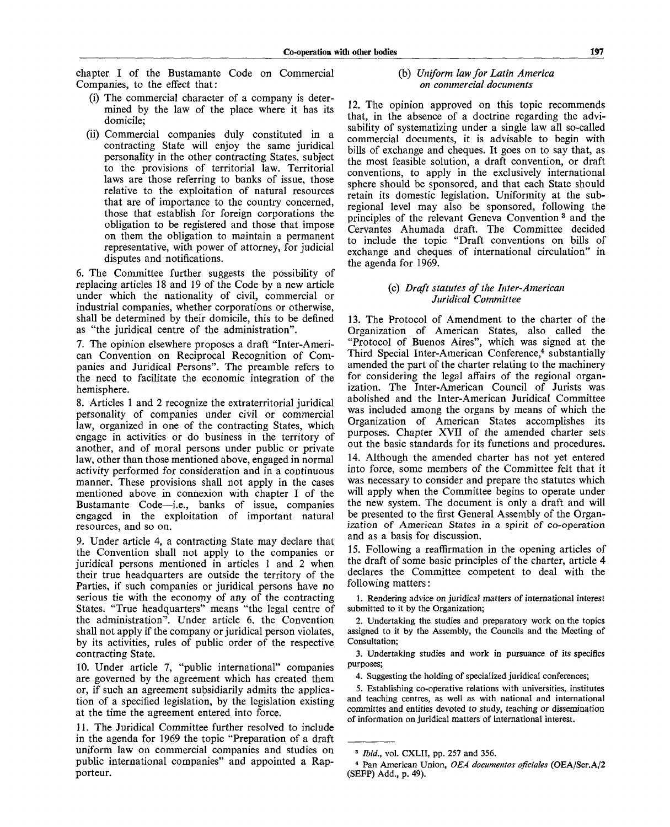chapter I of the Bustamante Code on Commercial Companies, to the effect that:

- (i) The commercial character of a company is determined by the law of the place where it has its domicile;
- (ii) Commercial companies duly constituted in a contracting State will enjoy the same juridical personality in the other contracting States, subject to the provisions of territorial law. Territorial laws are those referring to banks of issue, those relative to the exploitation of natural resources that are of importance to the country concerned, those that establish for foreign corporations the obligation to be registered and those that impose on them the obligation to maintain a permanent representative, with power of attorney, for judicial disputes and notifications.

6. The Committee further suggests the possibility of replacing articles 18 and 19 of the Code by a new article under which the nationality of civil, commercial or industrial companies, whether corporations or otherwise, shall be determined by their domicile, this to be defined as "the juridical centre of the administration".

7. The opinion elsewhere proposes a draft "Inter-American Convention on Reciprocal Recognition of Companies and Juridical Persons". The preamble refers to the need to facilitate the economic integration of the hemisphere.

8. Articles 1 and 2 recognize the extraterritorial juridical personality of companies under civil or commercial law, organized in one of the contracting States, which engage in activities or do business in the territory of another, and of moral persons under public or private law, other than those mentioned above, engaged in normal activity performed for consideration and in a continuous manner. These provisions shall not apply in the cases mentioned above in connexion with chapter I of the Bustamante Code—i.e., banks of issue, companies engaged in the exploitation of important natural resources, and so on.

9. Under article 4, a contracting State may declare that the Convention shall not apply to the companies or juridical persons mentioned in articles 1 and 2 when their true headquarters are outside the territory of the Parties, if such companies or juridical persons have no serious tie with the economy of any of the contracting States. "True headquarters" means "the legal centre of the administration". Under article 6, the Convention shall not apply if the company or juridical person violates, by its activities, rules of public order of the respective contracting State.

10. Under article 7, "public international" companies are governed by the agreement which has created them or, if such an agreement subsidiarily admits the application of a specified legislation, by the legislation existing at the time the agreement entered into force.

11. The Juridical Committee further resolved to include in the agenda for 1969 the topic "Preparation of a draft uniform law on commercial companies and studies on public international companies" and appointed a Rapporteur.

# (b) *Uniform law for Latin America on commercial documents*

12. The opinion approved on this topic recommends that, in the absence of a doctrine regarding the advisability of systematizing under a single law all so-called commercial documents, it is advisable to begin with bills of exchange and cheques. It goes on to say that, as the most feasible solution, a draft convention, or draft conventions, to apply in the exclusively international sphere should be sponsored, and that each State should retain its domestic legislation. Uniformity at the subregional level may also be sponsored, following the principles of the relevant Geneva Convention<sup>3</sup> and the Cervantes Ahumada draft. The Committee decided to include the topic "Draft conventions on bills of exchange and cheques of international circulation" in the agenda for 1969.

# (c) *Draft statutes of the Inter-American Juridical Committee*

13. The Protocol of Amendment to the charter of the Organization of American States, also called the "Protocol of Buenos Aires", which was signed at the Third Special Inter-American Conference,<sup>4</sup> substantially amended the part of the charter relating to the machinery for considering the legal affairs of the regional organization. The Inter-American Council of Jurists was abolished and the Inter-American Juridical Committee was included among the organs by means of which the Organization of American States accomplishes its purposes. Chapter XVII of the amended charter sets out the basic standards for its functions and procedures. 14. Although the amended charter has not yet entered into force, some members of the Committee felt that it was necessary to consider and prepare the statutes which will apply when the Committee begins to operate under the new system. The document is only a draft and will be presented to the first General Assembly of the Organization of American States in a spirit of co-operation and as a basis for discussion.

15. Following a reaffirmation in the opening articles of the draft of some basic principles of the charter, article 4 declares the Committee competent to deal with the following matters:

1. Rendering advice on juridical matters of international interest submitted to it by the Organization;

2. Undertaking the studies and preparatory work on the topics assigned to it by the Assembly, the Councils and the Meeting of Consultation;

3. Undertaking studies and work in pursuance of its specifics purposes;

5. Establishing co-operative relations with universities, institutes and teaching centres, as well as with national and international committes and entities devoted to study, teaching or dissemination of information on juridical matters of international interest.

<sup>4.</sup> Suggesting the holding of specialized juridical conferences;

<sup>3</sup>  *Ibid.,* vol. CXLII, pp. 257 and 356.

<sup>4</sup> Pan American Union, *OEA documentos oficiales* (OEA/Ser.A/2 (SEFP) Add., p. 49).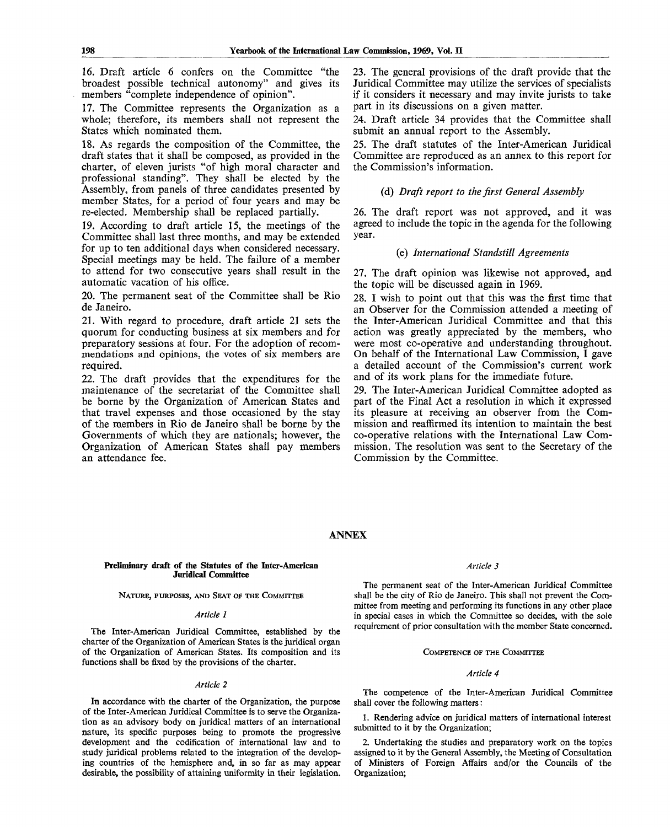16. Draft article 6 confers on the Committee "the broadest possible technical autonomy" and gives its members "complete independence of opinion".

17. The Committee represents the Organization as a whole; therefore, its members shall not represent the States which nominated them.

18. As regards the composition of the Committee, the draft states that it shall be composed, as provided in the charter, of eleven jurists "of high moral character and professional standing". They shall be elected by the Assembly, from panels of three candidates presented by member States, for a period of four years and may be re-elected. Membership shall be replaced partially.

19. According to draft article 15, the meetings of the Committee shall last three months, and may be extended for up to ten additional days when considered necessary. Special meetings may be held. The failure of a member to attend for two consecutive years shall result in the automatic vacation of his office.

20. The permanent seat of the Committee shall be Rio de Janeiro.

21. With regard to procedure, draft article 21 sets the quorum for conducting business at six members and for preparatory sessions at four. For the adoption of recommendations and opinions, the votes of six members are required.

22. The draft provides that the expenditures for the maintenance of the secretariat of the Committee shall be borne by the Organization of American States and that travel expenses and those occasioned by the stay of the members in Rio de Janeiro shall be borne by the Governments of which they are nationals; however, the Organization of American States shall pay members an attendance fee.

23. The general provisions of the draft provide that the Juridical Committee may utilize the services of specialists if it considers it necessary and may invite jurists to take part in its discussions on a given matter.

24. Draft article 34 provides that the Committee shall submit an annual report to the Assembly.

25. The draft statutes of the Inter-American Juridical Committee are reproduced as an annex to this report for the Commission's information.

# (d) *Draft report to the first General Assembly*

26. The draft report was not approved, and it was agreed to include the topic in the agenda for the following year.

# (e) *International Standstill Agreements*

27. The draft opinion was likewise not approved, and the topic will be discussed again in 1969.

28. I wish to point out that this was the first time that an Observer for the Commission attended a meeting of the Inter-American Juridical Committee and that this action was greatly appreciated by the members, who were most co-operative and understanding throughout. On behalf of the International Law Commission,  $\bar{I}$  gave a detailed account of the Commission's current work and of its work plans for the immediate future.

29. The Inter-American Juridical Committee adopted as part of the Final Act a resolution in which it expressed its pleasure at receiving an observer from the Commission and reaffirmed its intention to maintain the best co-operative relations with the International Law Commission. The resolution was sent to the Secretary of the Commission by the Committee.

# ANNEX

## Preliminary draft of the Statutes of the Inter-American Juridical Committee

NATURE, PURPOSES, AND SEAT OF THE COMMITTEE

#### *Article 1*

The Inter-American Juridical Committee, established by the charter of the Organization of American States is the juridical organ of the Organization of American States. Its composition and its functions shall be fixed by the provisions of the charter.

# *Article 2*

In accordance with the charter of the Organization, the purpose of the Inter-American Juridical Committee is to serve the Organization as an advisory body on juridical matters of an international nature, its specific purposes being to promote the progressive development and the codification of international law and to study juridical problems related to the integration of the developing countries of the hemisphere and, in so far as may appear desirable, the possibility of attaining uniformity in their legislation.

# *Article 3*

The permanent seat of the Inter-American Juridical Committee shall be the city of Rio de Janeiro. This shall not prevent the Committee from meeting and performing its functions in any other place in special cases in which the Committee so decides, with the sole requirement of prior consultation with the member State concerned.

# COMPETENCE OF THE COMMITTEE

# *Article 4*

The competence of the Inter-American Juridical Committee shall cover the following matters:

1. Rendering advice on juridical matters of international interest submitted to it by the Organization;

2. Undertaking the studies and preparatory work on the topics assigned to it by the General Assembly, the Meeting of Consultation of Ministers of Foreign Affairs and/or the Councils of the Organization;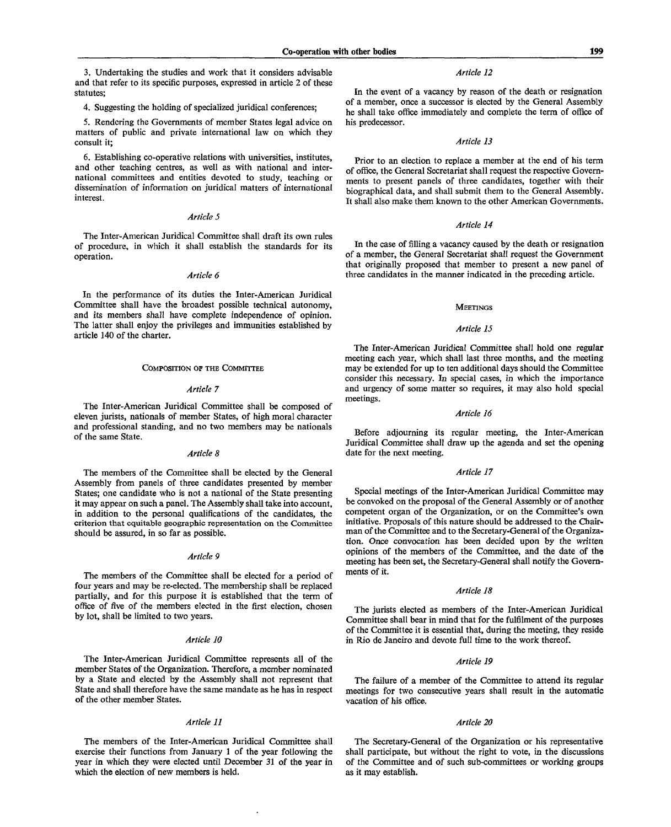3. Undertaking the studies and work that it considers advisable and that refer to its specific purposes, expressed in article 2 of these statutes;

4. Suggesting the holding of specialized juridical conferences;

5. Rendering the Governments of member States legal advice on matters of public and private international law on which they consult it;

6. Establishing co-operative relations with universities, institutes, and other teaching centres, as well as with national and international committees and entities devoted to study, teaching or dissemination of information on juridical matters of international interest.

# *Article 5*

The Inter-American Juridical Committee shall draft its own rules of procedure, in which it shall establish the standards for its operation.

# *Article 6*

In the performance of its duties the Inter-American Juridical Committee shall have the broadest possible technical autonomy, and its members shall have complete independence of opinion. The latter shall enjoy the privileges and immunities established by article 140 of the charter.

## COMPOSITION OF THE COMMITTEE

# *Article 7*

The Inter-American Juridical Committee shall be composed of eleven jurists, nationals of member States, of high moral character and professional standing, and no two members may be nationals of the same State.

# *Article 8*

The members of the Committee shall be elected by the General Assembly from panels of three candidates presented by member States; one candidate who is not a national of the State presenting it may appear on such a panel. The Assembly shall take into account, in addition to the personal qualifications of the candidates, the criterion that equitable geographic representation on the Committee should be assured, in so far as possible.

## *Article 9*

The members of the Committee shall be elected for a period of four years and may be re-elected. The membership shall be replaced partially, and for this purpose it is established that the term of office of five of the members elected in the first election, chosen by lot, shall be limited to two years.

#### *Article 10*

The Inter-American Juridical Committee represents all of the member States of the Organization. Therefore, a member nominated by a State and elected by the Assembly shall not represent that State and shall therefore have the same mandate as he has in respect of the other member States.

## *Article 11*

The members of the Inter-American Juridical Committee shall exercise their functions from January 1 of the year following the year in which they were elected until December 31 of the year in which the election of new members is held.

#### *Article 12*

In the event of a vacancy by reason of the death or resignation of a member, once a successor is elected by the General Assembly he shall take office immediately and complete the term of office of his predecessor.

## *Article 13*

Prior to an election to replace a member at the end of his term of office, the General Secretariat shall request the respective Governments to present panels of three candidates, together with their biographical data, and shall submit them to the General Assembly. It shall also make them known to the other American Governments.

## *Article 14*

In the case of filling a vacancy caused by the death or resignation of a member, the General Secretariat shall request the Government that originally proposed that member to present a new panel of three candidates in the manner indicated in the preceding article.

# **MEETINGS**

# *Article 15*

The Inter-American Juridical Committee shall hold one regular meeting each year, which shall last three months, and the meeting may be extended for up to ten additional days should the Committee consider this necessary. In special cases, in which the importance and urgency of some matter so requires, it may also hold special meetings.

#### *Article 16*

Before adjourning its regular meeting, the Inter-American Juridical Committee shall draw up the agenda and set the opening date for the next meeting.

#### *Article 17*

Special meetings of the Inter-American Juridical Committee may be convoked on the proposal of the General Assembly or of another competent organ of the Organization, or on the Committee's own initiative. Proposals of this nature should be addressed to the Chairman of the Committee and to the Secretary-General of the Organization. Once convocation has been decided upon by the written opinions of the members of the Committee, and the date of the meeting has been set, the Secretary-General shall notify the Governments of it.

# *Article 18*

The jurists elected as members of the Inter-American Juridical Committee shall bear in mind that for the fulfilment of the purposes of the Committee it is essential that, during the meeting, they reside in Rio de Janeiro and devote full time to the work thereof.

#### *Article 19*

The failure of a member of the Committee to attend its regular meetings for two consecutive years shall result in the automatic vacation of his office.

#### *Article 20*

The Secretary-General of the Organization or his representative shall participate, but without the right to vote, in the discussions of the Committee and of such sub-committees or working groups as it may establish.